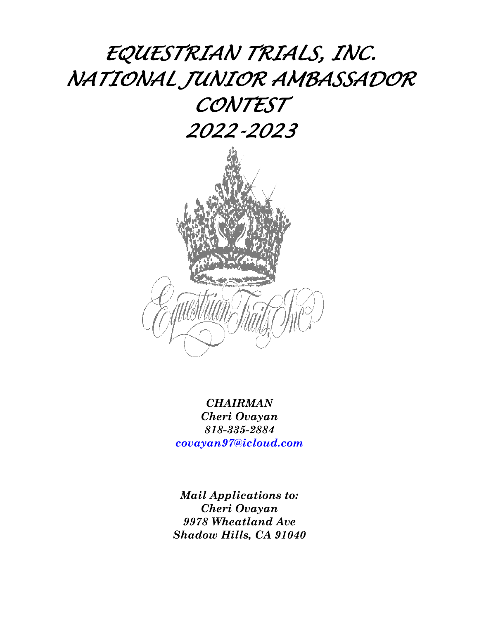# *EQUESTRIAN TRIALS, INC. NATIONAL JUNIOR AMBASSADOR CONTEST 2022-2023*



*CHAIRMAN Cheri Ovayan 818-335-2884 covayan97@icloud.com*

*Mail Applications to: Cheri Ovayan 9978 Wheatland Ave Shadow Hills, CA 91040*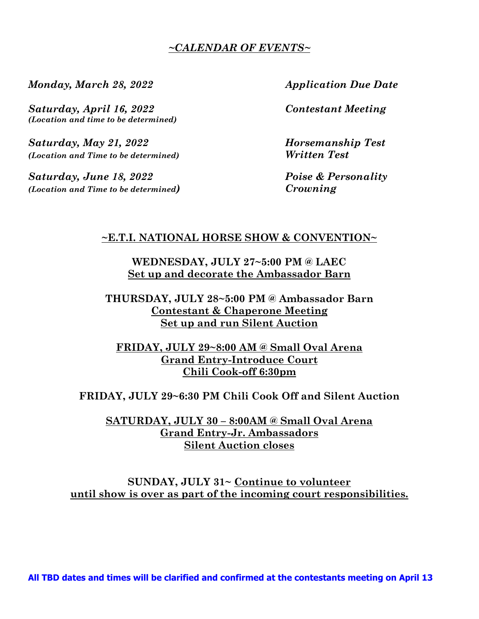## *~CALENDAR OF EVENTS~*

*Monday, March 28, 2022 Application Due Date* 

*Saturday, April 16, 2022 Contestant Meeting (Location and time to be determined)* 

*Saturday, May 21, 2022 Horsemanship Test (Location and Time to be determined) Written Test* 

*Saturday, June 18, 2022 Poise & Personality (Location and Time to be determined) Crowning* 

## **~E.T.I. NATIONAL HORSE SHOW & CONVENTION~**

**WEDNESDAY, JULY 27~5:00 PM @ LAEC Set up and decorate the Ambassador Barn** 

**THURSDAY, JULY 28~5:00 PM @ Ambassador Barn Contestant & Chaperone Meeting Set up and run Silent Auction** 

**FRIDAY, JULY 29~8:00 AM @ Small Oval Arena Grand Entry-Introduce Court Chili Cook-off 6:30pm** 

**FRIDAY, JULY 29~6:30 PM Chili Cook Off and Silent Auction** 

**SATURDAY, JULY 30 – 8:00AM @ Small Oval Arena Grand Entry-Jr. Ambassadors Silent Auction closes** 

**SUNDAY, JULY 31~ Continue to volunteer until show is over as part of the incoming court responsibilities.**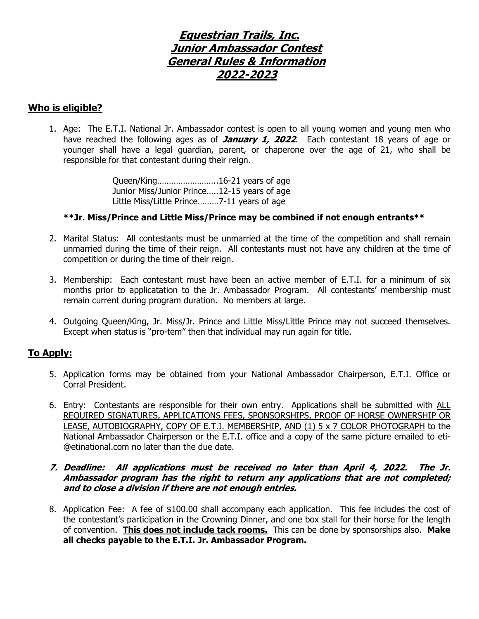## **Equestrian Trails, Inc. Junior Ambassador Contest General Rules & Information 2022-2023**

#### **Who is eligible?**

1. Age: The E.T.I. National Jr. Ambassador contest is open to all young women and young men who have reached the following ages as of **January 1, 2022**. Each contestant 18 years of age or younger shall have a legal guardian, parent, or chaperone over the age of 21, who shall be responsible for that contestant during their reign.

> Queen/King……………………..16-21 years of age Junior Miss/Junior Prince…..12-15 years of age Little Miss/Little Prince………7-11 years of age

#### **\*\*Jr. Miss/Prince and Little Miss/Prince may be combined if not enough entrants\*\***

- 2. Marital Status: All contestants must be unmarried at the time of the competition and shall remain unmarried during the time of their reign. All contestants must not have any children at the time of competition or during the time of their reign.
- 3. Membership: Each contestant must have been an active member of E.T.I. for a minimum of six months prior to applicatation to the Jr. Ambassador Program. All contestants' membership must remain current during program duration. No members at large.
- 4. Outgoing Queen/King, Jr. Miss/Jr. Prince and Little Miss/Little Prince may not succeed themselves. Except when status is "pro-tem" then that individual may run again for title.

### **To Apply:**

- 5. Application forms may be obtained from your National Ambassador Chairperson, E.T.I. Office or Corral President.
- 6. Entry: Contestants are responsible for their own entry. Applications shall be submitted with ALL REQUIRED SIGNATURES, APPLICATIONS FEES, SPONSORSHIPS, PROOF OF HORSE OWNERSHIP OR LEASE, AUTOBIOGRAPHY, COPY OF E.T.I. MEMBERSHIP, AND (1) 5 x 7 COLOR PHOTOGRAPH to the National Ambassador Chairperson or the E.T.I. office and a copy of the same picture emailed to eti- @etinational.com no later than the due date.

#### **7. Deadline: All applications must be received no later than April 4, 2022. The Jr. Ambassador program has the right to return any applications that are not completed; and to close a division if there are not enough entries.**

8. Application Fee: A fee of \$100.00 shall accompany each application. This fee includes the cost of the contestant's participation in the Crowning Dinner, and one box stall for their horse for the length of convention. **This does not include tack rooms.** This can be done by sponsorships also. **Make all checks payable to the E.T.I. Jr. Ambassador Program.**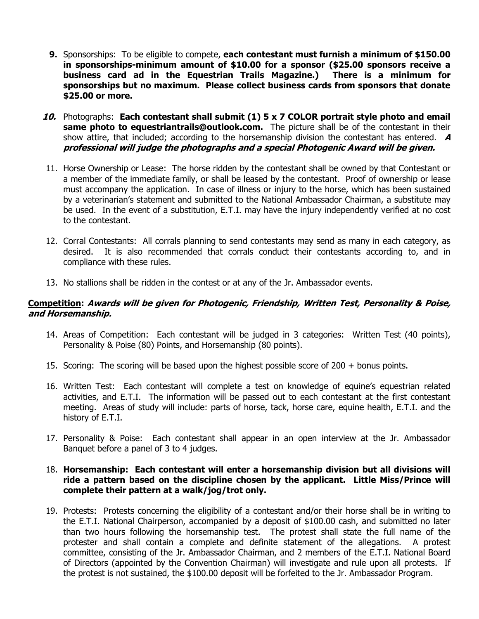- **9.** Sponsorships: To be eligible to compete, **each contestant must furnish a minimum of \$150.00 in sponsorships-minimum amount of \$10.00 for a sponsor (\$25.00 sponsors receive a business card ad in the Equestrian Trails Magazine.) There is a minimum for sponsorships but no maximum. Please collect business cards from sponsors that donate \$25.00 or more.**
- **10.** Photographs: **Each contestant shall submit (1) 5 x 7 COLOR portrait style photo and email same photo to equestriantrails@outlook.com.** The picture shall be of the contestant in their show attire, that included; according to the horsemanship division the contestant has entered. **A professional will judge the photographs and a special Photogenic Award will be given.**
- 11. Horse Ownership or Lease: The horse ridden by the contestant shall be owned by that Contestant or a member of the immediate family, or shall be leased by the contestant. Proof of ownership or lease must accompany the application. In case of illness or injury to the horse, which has been sustained by a veterinarian's statement and submitted to the National Ambassador Chairman, a substitute may be used. In the event of a substitution, E.T.I. may have the injury independently verified at no cost to the contestant.
- 12. Corral Contestants: All corrals planning to send contestants may send as many in each category, as desired. It is also recommended that corrals conduct their contestants according to, and in compliance with these rules.
- 13. No stallions shall be ridden in the contest or at any of the Jr. Ambassador events.

#### **Competition: Awards will be given for Photogenic, Friendship, Written Test, Personality & Poise, and Horsemanship.**

- 14. Areas of Competition: Each contestant will be judged in 3 categories: Written Test (40 points), Personality & Poise (80) Points, and Horsemanship (80 points).
- 15. Scoring: The scoring will be based upon the highest possible score of 200 + bonus points.
- 16. Written Test: Each contestant will complete a test on knowledge of equine's equestrian related activities, and E.T.I. The information will be passed out to each contestant at the first contestant meeting. Areas of study will include: parts of horse, tack, horse care, equine health, E.T.I. and the history of E.T.I.
- 17. Personality & Poise: Each contestant shall appear in an open interview at the Jr. Ambassador Banquet before a panel of 3 to 4 judges.

#### 18. **Horsemanship: Each contestant will enter a horsemanship division but all divisions will ride a pattern based on the discipline chosen by the applicant. Little Miss/Prince will complete their pattern at a walk/jog/trot only.**

19. Protests: Protests concerning the eligibility of a contestant and/or their horse shall be in writing to the E.T.I. National Chairperson, accompanied by a deposit of \$100.00 cash, and submitted no later than two hours following the horsemanship test. The protest shall state the full name of the protester and shall contain a complete and definite statement of the allegations. A protest committee, consisting of the Jr. Ambassador Chairman, and 2 members of the E.T.I. National Board of Directors (appointed by the Convention Chairman) will investigate and rule upon all protests. If the protest is not sustained, the \$100.00 deposit will be forfeited to the Jr. Ambassador Program.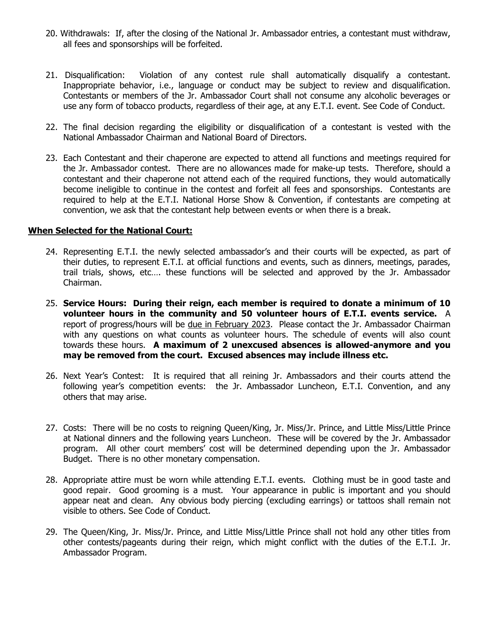- 20. Withdrawals: If, after the closing of the National Jr. Ambassador entries, a contestant must withdraw, all fees and sponsorships will be forfeited.
- 21. Disqualification: Violation of any contest rule shall automatically disqualify a contestant. Inappropriate behavior, i.e., language or conduct may be subject to review and disqualification. Contestants or members of the Jr. Ambassador Court shall not consume any alcoholic beverages or use any form of tobacco products, regardless of their age, at any E.T.I. event. See Code of Conduct.
- 22. The final decision regarding the eligibility or disqualification of a contestant is vested with the National Ambassador Chairman and National Board of Directors.
- 23. Each Contestant and their chaperone are expected to attend all functions and meetings required for the Jr. Ambassador contest. There are no allowances made for make-up tests. Therefore, should a contestant and their chaperone not attend each of the required functions, they would automatically become ineligible to continue in the contest and forfeit all fees and sponsorships. Contestants are required to help at the E.T.I. National Horse Show & Convention, if contestants are competing at convention, we ask that the contestant help between events or when there is a break.

#### **When Selected for the National Court:**

- 24. Representing E.T.I. the newly selected ambassador's and their courts will be expected, as part of their duties, to represent E.T.I. at official functions and events, such as dinners, meetings, parades, trail trials, shows, etc…. these functions will be selected and approved by the Jr. Ambassador Chairman.
- 25. **Service Hours: During their reign, each member is required to donate a minimum of 10 volunteer hours in the community and 50 volunteer hours of E.T.I. events service.** A report of progress/hours will be due in February 2023. Please contact the Jr. Ambassador Chairman with any questions on what counts as volunteer hours. The schedule of events will also count towards these hours. **A maximum of 2 unexcused absences is allowed-anymore and you may be removed from the court. Excused absences may include illness etc.**
- 26. Next Year's Contest: It is required that all reining Jr. Ambassadors and their courts attend the following year's competition events: the Jr. Ambassador Luncheon, E.T.I. Convention, and any others that may arise.
- 27. Costs: There will be no costs to reigning Queen/King, Jr. Miss/Jr. Prince, and Little Miss/Little Prince at National dinners and the following years Luncheon. These will be covered by the Jr. Ambassador program. All other court members' cost will be determined depending upon the Jr. Ambassador Budget. There is no other monetary compensation.
- 28. Appropriate attire must be worn while attending E.T.I. events. Clothing must be in good taste and good repair. Good grooming is a must. Your appearance in public is important and you should appear neat and clean. Any obvious body piercing (excluding earrings) or tattoos shall remain not visible to others. See Code of Conduct.
- 29. The Queen/King, Jr. Miss/Jr. Prince, and Little Miss/Little Prince shall not hold any other titles from other contests/pageants during their reign, which might conflict with the duties of the E.T.I. Jr. Ambassador Program.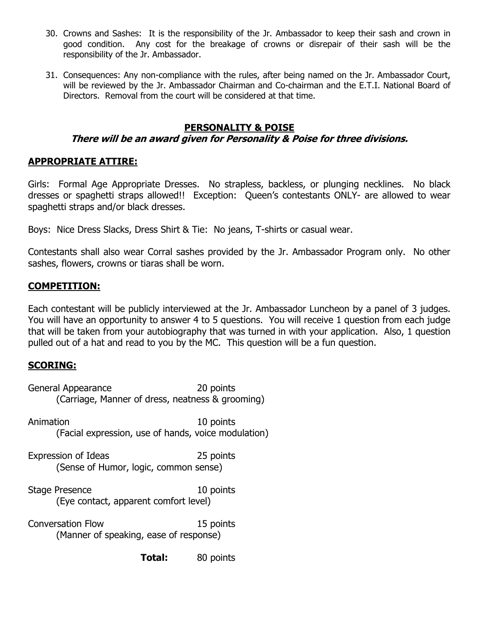- 30. Crowns and Sashes: It is the responsibility of the Jr. Ambassador to keep their sash and crown in good condition. Any cost for the breakage of crowns or disrepair of their sash will be the responsibility of the Jr. Ambassador.
- 31. Consequences: Any non-compliance with the rules, after being named on the Jr. Ambassador Court, will be reviewed by the Jr. Ambassador Chairman and Co-chairman and the E.T.I. National Board of Directors. Removal from the court will be considered at that time.

## **PERSONALITY & POISE**

## **There will be an award given for Personality & Poise for three divisions.**

## **APPROPRIATE ATTIRE:**

Girls: Formal Age Appropriate Dresses. No strapless, backless, or plunging necklines. No black dresses or spaghetti straps allowed!! Exception: Queen's contestants ONLY- are allowed to wear spaghetti straps and/or black dresses.

Boys: Nice Dress Slacks, Dress Shirt & Tie: No jeans, T-shirts or casual wear.

Contestants shall also wear Corral sashes provided by the Jr. Ambassador Program only. No other sashes, flowers, crowns or tiaras shall be worn.

## **COMPETITION:**

Each contestant will be publicly interviewed at the Jr. Ambassador Luncheon by a panel of 3 judges. You will have an opportunity to answer 4 to 5 questions. You will receive 1 question from each judge that will be taken from your autobiography that was turned in with your application. Also, 1 question pulled out of a hat and read to you by the MC. This question will be a fun question.

## **SCORING:**

| 20 points                                           |
|-----------------------------------------------------|
| (Carriage, Manner of dress, neatness & grooming)    |
| 10 points                                           |
| (Facial expression, use of hands, voice modulation) |
| 25 points                                           |
| (Sense of Humor, logic, common sense)               |
| 10 points                                           |
| (Eye contact, apparent comfort level)               |
| 15 points                                           |
| (Manner of speaking, ease of response)              |
| 80 points                                           |
|                                                     |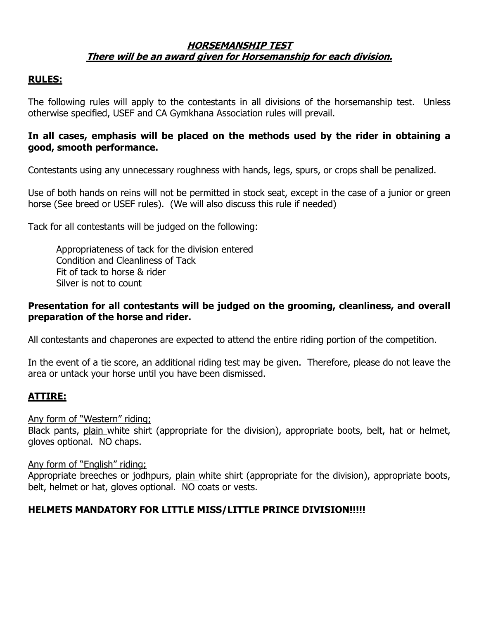## **HORSEMANSHIP TEST There will be an award given for Horsemanship for each division.**

## **RULES:**

The following rules will apply to the contestants in all divisions of the horsemanship test. Unless otherwise specified, USEF and CA Gymkhana Association rules will prevail.

## **In all cases, emphasis will be placed on the methods used by the rider in obtaining a good, smooth performance.**

Contestants using any unnecessary roughness with hands, legs, spurs, or crops shall be penalized.

Use of both hands on reins will not be permitted in stock seat, except in the case of a junior or green horse (See breed or USEF rules). (We will also discuss this rule if needed)

Tack for all contestants will be judged on the following:

Appropriateness of tack for the division entered Condition and Cleanliness of Tack Fit of tack to horse & rider Silver is not to count

## **Presentation for all contestants will be judged on the grooming, cleanliness, and overall preparation of the horse and rider.**

All contestants and chaperones are expected to attend the entire riding portion of the competition.

In the event of a tie score, an additional riding test may be given. Therefore, please do not leave the area or untack your horse until you have been dismissed.

## **ATTIRE:**

### Any form of "Western" riding;

Black pants, plain white shirt (appropriate for the division), appropriate boots, belt, hat or helmet, gloves optional. NO chaps.

### Any form of "English" riding;

Appropriate breeches or jodhpurs, plain white shirt (appropriate for the division), appropriate boots, belt, helmet or hat, gloves optional. NO coats or vests.

## **HELMETS MANDATORY FOR LITTLE MISS/LITTLE PRINCE DIVISION!!!!!**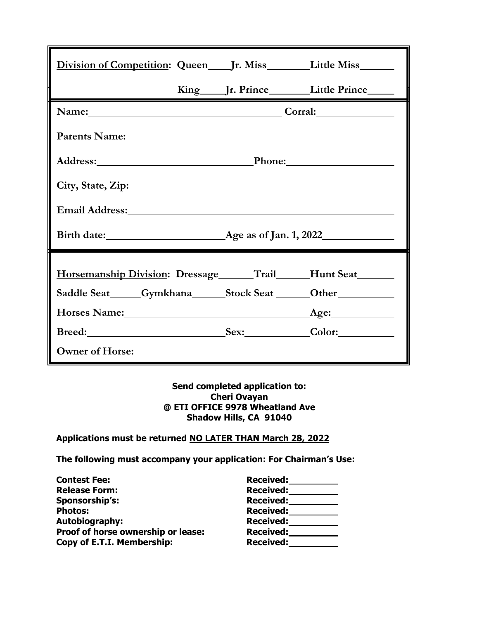| Division of Competition: Queen _____ Jr. Miss __________ Little Miss _________                                                                                                                                                 |  |                                                   |
|--------------------------------------------------------------------------------------------------------------------------------------------------------------------------------------------------------------------------------|--|---------------------------------------------------|
|                                                                                                                                                                                                                                |  | King ______ Jr. Prince ____________ Little Prince |
| Name: Corral:                                                                                                                                                                                                                  |  |                                                   |
| Parents Name: 1988 and 1988 and 1988 and 1988 and 1988 and 1988 and 1988 and 1988 and 1988 and 1988 and 1988 and 1988 and 1988 and 1988 and 1988 and 1988 and 1988 and 1988 and 1988 and 1988 and 1988 and 1988 and 1988 and 1 |  |                                                   |
|                                                                                                                                                                                                                                |  |                                                   |
|                                                                                                                                                                                                                                |  |                                                   |
| Email Address: No. 1996. The Contract of the Contract of the Contract of the Contract of the Contract of the Contract of the Contract of the Contract of the Contract of the Contract of the Contract of the Contract of the C |  |                                                   |
|                                                                                                                                                                                                                                |  |                                                   |
|                                                                                                                                                                                                                                |  |                                                   |
| Horsemanship Division: Dressage ______Trail______Hunt Seat_______                                                                                                                                                              |  |                                                   |
| Saddle Seat______Gymkhana______Stock Seat _______Other__________________________                                                                                                                                               |  |                                                   |
|                                                                                                                                                                                                                                |  |                                                   |
| Breed: Sex: Color:                                                                                                                                                                                                             |  |                                                   |
| Owner of Horse: New York Changes and Security and Security and Security and Security and Security and Security and Security and Security and Security and Security and Security and Security and Security and Security and Sec |  |                                                   |

#### **Send completed application to: Cheri Ovayan @ ETI OFFICE 9978 Wheatland Ave Shadow Hills, CA 91040**

**Applications must be returned NO LATER THAN March 28, 2022** 

**The following must accompany your application: For Chairman's Use:** 

| <b>Contest Fee:</b>                | Received:        |
|------------------------------------|------------------|
| <b>Release Form:</b>               | <b>Received:</b> |
| Sponsorship's:                     | <b>Received:</b> |
| <b>Photos:</b>                     | Received:        |
| <b>Autobiography:</b>              | <b>Received:</b> |
| Proof of horse ownership or lease: | <b>Received:</b> |
| Copy of E.T.I. Membership:         | <b>Received:</b> |

| <b>Received:</b> |
|------------------|
|                  |
|                  |
|                  |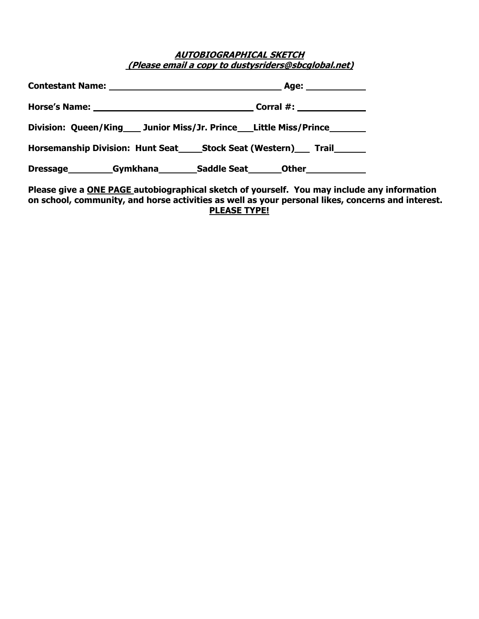#### **AUTOBIOGRAPHICAL SKETCH (Please email a copy to dustysriders@sbcglobal.net)**

| Division: Queen/King Junior Miss/Jr. Prince Little Miss/Prince                  |
|---------------------------------------------------------------------------------|
| Horsemanship Division: Hunt Seat______Stock Seat (Western)______ Trail_________ |
| Dressage Gymkhana Saddle Seat Other                                             |
| Dlease give a ONE DACE autobiographical sketch of vourself. You may include an  |

**Please give a ONE PAGE autobiographical sketch of yourself. You may include any information on school, community, and horse activities as well as your personal likes, concerns and interest. PLEASE TYPE!**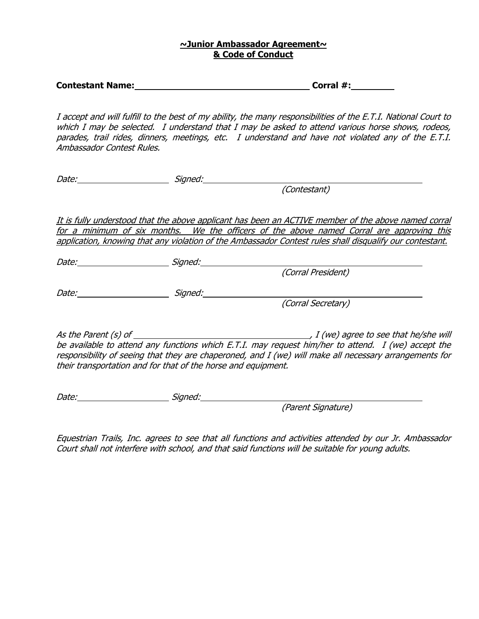#### **~Junior Ambassador Agreement~ & Code of Conduct**

| <b>Contestant Name:</b> |
|-------------------------|
|-------------------------|

**Corral #:**  $\blacksquare$ 

I accept and will fulfill to the best of my ability, the many responsibilities of the E.T.I. National Court to which I may be selected. I understand that I may be asked to attend various horse shows, rodeos, parades, trail rides, dinners, meetings, etc. I understand and have not violated any of the E.T.I. Ambassador Contest Rules.

Date: Signed:

(Contestant)

It is fully understood that the above applicant has been an ACTIVE member of the above named corral for a minimum of six months. We the officers of the above named Corral are approving this application, knowing that any violation of the Ambassador Contest rules shall disqualify our contestant.

Date: Signed: Signed:

Date: Signed:

(Corral Secretary)

(Corral President)

As the Parent (s) of  $\frac{1}{\sqrt{2}}$  (see that he/she will be available to attend any functions which E.T.I. may request him/her to attend. I (we) accept the responsibility of seeing that they are chaperoned, and I (we) will make all necessary arrangements for their transportation and for that of the horse and equipment.

Date: Signed:

(Parent Signature)

Equestrian Trails, Inc. agrees to see that all functions and activities attended by our Jr. Ambassador Court shall not interfere with school, and that said functions will be suitable for young adults.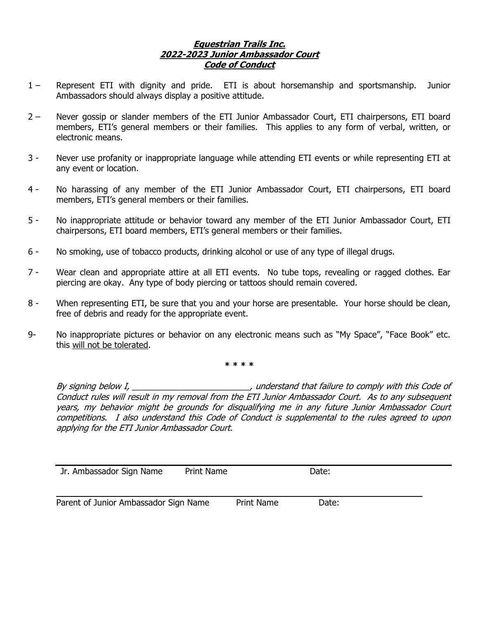#### **Equestrian Trails Inc. 2022-2023 Junior Ambassador Court Code of Conduct**

- 1 Represent ETI with dignity and pride. ETI is about horsemanship and sportsmanship. Junior Ambassadors should always display a positive attitude.
- 2 Never gossip or slander members of the ETI Junior Ambassador Court, ETI chairpersons, ETI board members, ETI's general members or their families. This applies to any form of verbal, written, or electronic means.
- 3 Never use profanity or inappropriate language while attending ETI events or while representing ETI at any event or location.
- 4 No harassing of any member of the ETI Junior Ambassador Court, ETI chairpersons, ETI board members, ETI's general members or their families.
- 5 No inappropriate attitude or behavior toward any member of the ETI Junior Ambassador Court, ETI chairpersons, ETI board members, ETI's general members or their families.
- 6 No smoking, use of tobacco products, drinking alcohol or use of any type of illegal drugs.
- 7 Wear clean and appropriate attire at all ETI events. No tube tops, revealing or ragged clothes. Ear piercing are okay. Any type of body piercing or tattoos should remain covered.
- 8 When representing ETI, be sure that you and your horse are presentable. Your horse should be clean, free of debris and ready for the appropriate event.
- 9- No inappropriate pictures or behavior on any electronic means such as "My Space", "Face Book" etc. this will not be tolerated.

**\* \* \* \*** 

By signing below I, \_\_\_\_\_\_\_\_\_\_\_\_\_\_\_\_\_\_\_\_\_\_\_\_\_, understand that failure to comply with this Code of Conduct rules will result in my removal from the ETI Junior Ambassador Court. As to any subsequent years, my behavior might be grounds for disqualifying me in any future Junior Ambassador Court competitions. I also understand this Code of Conduct is supplemental to the rules agreed to upon applying for the ETI Junior Ambassador Court.

| Jr. Ambassador Sign Name              | <b>Print Name</b> |                   | Date: |  |
|---------------------------------------|-------------------|-------------------|-------|--|
|                                       |                   |                   |       |  |
| Parent of Junior Ambassador Sign Name |                   | <b>Print Name</b> | Date: |  |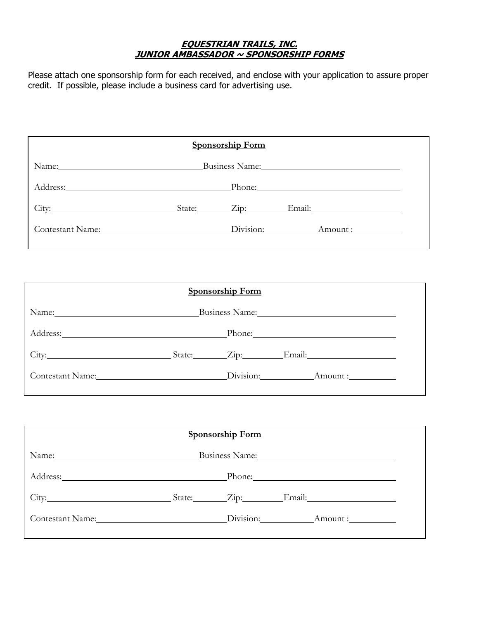#### **EQUESTRIAN TRAILS, INC. JUNIOR AMBASSADOR ~ SPONSORSHIP FORMS**

Please attach one sponsorship form for each received, and enclose with your application to assure proper credit. If possible, please include a business card for advertising use.

|                                                                                                                                                                                                                               | <b>Sponsorship Form</b> |                                                                                                                                                                                                                                |
|-------------------------------------------------------------------------------------------------------------------------------------------------------------------------------------------------------------------------------|-------------------------|--------------------------------------------------------------------------------------------------------------------------------------------------------------------------------------------------------------------------------|
| Name: Business Name: Business Name:                                                                                                                                                                                           |                         |                                                                                                                                                                                                                                |
|                                                                                                                                                                                                                               |                         | Phone: 2008 Contract Contract Contract Contract Contract Contract Contract Contract Contract Contract Contract Contract Contract Contract Contract Contract Contract Contract Contract Contract Contract Contract Contract Con |
| City: City: City: City: City: City: City: City: City: City: City: City: City: City: City: City: City: City: City: City: City: City: City: City: City: City: City: City: City: City: City: City: City: City: City: City: City: |                         |                                                                                                                                                                                                                                |
| Contestant Name: Division: Amount:                                                                                                                                                                                            |                         |                                                                                                                                                                                                                                |

|                                                                                                                                                                                                                                | <b>Sponsorship Form</b> |                     |
|--------------------------------------------------------------------------------------------------------------------------------------------------------------------------------------------------------------------------------|-------------------------|---------------------|
|                                                                                                                                                                                                                                |                         | Business Name: 1988 |
| Address: Phone: Phone: Phone: Phone: Phone: Phone: Phone: Phone: Phone: Phone: Phone: Phone: Phone: Phone: Phone: Phone: Phone: Phone: Phone: Phone: Phone: Phone: Phone: Phone: Phone: Phone: Phone: Phone: Phone: Phone: Pho |                         |                     |
| City: City: City: City: City: City: City: City: City: City: City: City: City: City: City: City: City: City: City: City: City: City: City: City: City: City: City: City: City: City: City: City: City: City: City: City: City:  |                         |                     |
| Contestant Name: Division: Amount : Amount :                                                                                                                                                                                   |                         |                     |

|                                                                                                                                                                                                                               | <b>Sponsorship Form</b> |                                                                                                                                                                                                                                |
|-------------------------------------------------------------------------------------------------------------------------------------------------------------------------------------------------------------------------------|-------------------------|--------------------------------------------------------------------------------------------------------------------------------------------------------------------------------------------------------------------------------|
|                                                                                                                                                                                                                               |                         | Business Name: Manuel Manuel Manuel Manuel Manuel Manuel Manuel Manuel Manuel Manuel Manuel Manuel Manuel Manuel Manuel Manuel Manuel Manuel Manuel Manuel Manuel Manuel Manuel Manuel Manuel Manuel Manuel Manuel Manuel Manu |
|                                                                                                                                                                                                                               |                         |                                                                                                                                                                                                                                |
| City: City: City: City: City: City: City: City: City: City: City: City: City: City: City: City: City: City: City: City: City: City: City: City: City: City: City: City: City: City: City: City: City: City: City: City: City: |                         |                                                                                                                                                                                                                                |
| Contestant Name: Division: Amount :                                                                                                                                                                                           |                         |                                                                                                                                                                                                                                |